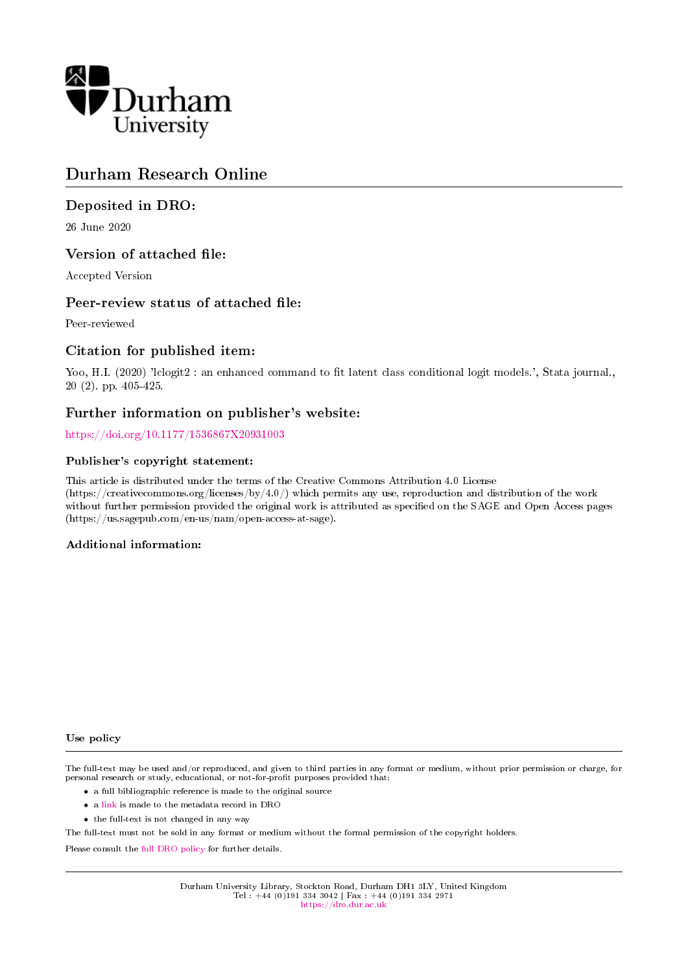

# Durham Research Online

# Deposited in DRO:

26 June 2020

## Version of attached file:

Accepted Version

## Peer-review status of attached file:

Peer-reviewed

## Citation for published item:

Yoo, H.I. (2020) 'lclogit2 : an enhanced command to fit latent class conditional logit models.', Stata journal., 20 (2). pp. 405-425.

# Further information on publisher's website:

<https://doi.org/10.1177/1536867X20931003>

#### Publisher's copyright statement:

This article is distributed under the terms of the Creative Commons Attribution 4.0 License (https://creativecommons.org/licenses/by/4.0/) which permits any use, reproduction and distribution of the work without further permission provided the original work is attributed as specified on the SAGE and Open Access pages (https://us.sagepub.com/en-us/nam/open-access-at-sage).

#### Additional information:

#### Use policy

The full-text may be used and/or reproduced, and given to third parties in any format or medium, without prior permission or charge, for personal research or study, educational, or not-for-profit purposes provided that:

- a full bibliographic reference is made to the original source
- a [link](http://dro.dur.ac.uk/29867/) is made to the metadata record in DRO
- the full-text is not changed in any way

The full-text must not be sold in any format or medium without the formal permission of the copyright holders.

Please consult the [full DRO policy](https://dro.dur.ac.uk/policies/usepolicy.pdf) for further details.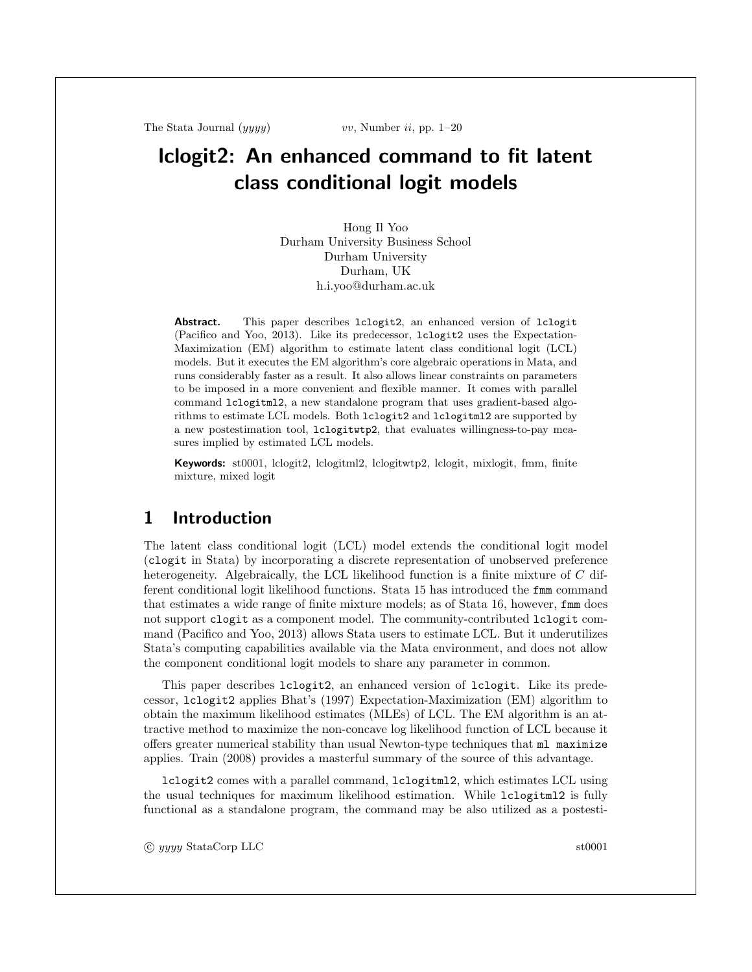The Stata Journal  $(yyyy)$  vv, Number ii, pp. 1–20

# lclogit2: An enhanced command to fit latent class conditional logit models

Hong Il Yoo Durham University Business School Durham University Durham, UK h.i.yoo@durham.ac.uk

Abstract. This paper describes lclogit2, an enhanced version of lclogit (Pacifico and Yoo, 2013). Like its predecessor, lclogit2 uses the Expectation-Maximization (EM) algorithm to estimate latent class conditional logit (LCL) models. But it executes the EM algorithm's core algebraic operations in Mata, and runs considerably faster as a result. It also allows linear constraints on parameters to be imposed in a more convenient and flexible manner. It comes with parallel command lclogitml2, a new standalone program that uses gradient-based algorithms to estimate LCL models. Both lclogit2 and lclogitml2 are supported by a new postestimation tool, lclogitwtp2, that evaluates willingness-to-pay measures implied by estimated LCL models.

Keywords: st0001, lclogit2, lclogitml2, lclogitwtp2, lclogit, mixlogit, fmm, finite mixture, mixed logit

# 1 Introduction

The latent class conditional logit (LCL) model extends the conditional logit model (clogit in Stata) by incorporating a discrete representation of unobserved preference heterogeneity. Algebraically, the LCL likelihood function is a finite mixture of C different conditional logit likelihood functions. Stata 15 has introduced the fmm command that estimates a wide range of finite mixture models; as of Stata 16, however, fmm does not support clogit as a component model. The community-contributed lclogit command (Pacifico and Yoo, 2013) allows Stata users to estimate LCL. But it underutilizes Stata's computing capabilities available via the Mata environment, and does not allow the component conditional logit models to share any parameter in common.

This paper describes lclogit2, an enhanced version of lclogit. Like its predecessor, lclogit2 applies Bhat's (1997) Expectation-Maximization (EM) algorithm to obtain the maximum likelihood estimates (MLEs) of LCL. The EM algorithm is an attractive method to maximize the non-concave log likelihood function of LCL because it offers greater numerical stability than usual Newton-type techniques that ml maximize applies. Train (2008) provides a masterful summary of the source of this advantage.

lclogit2 comes with a parallel command, lclogitml2, which estimates LCL using the usual techniques for maximum likelihood estimation. While lclogitml2 is fully functional as a standalone program, the command may be also utilized as a postesti-

c yyyy StataCorp LLC st0001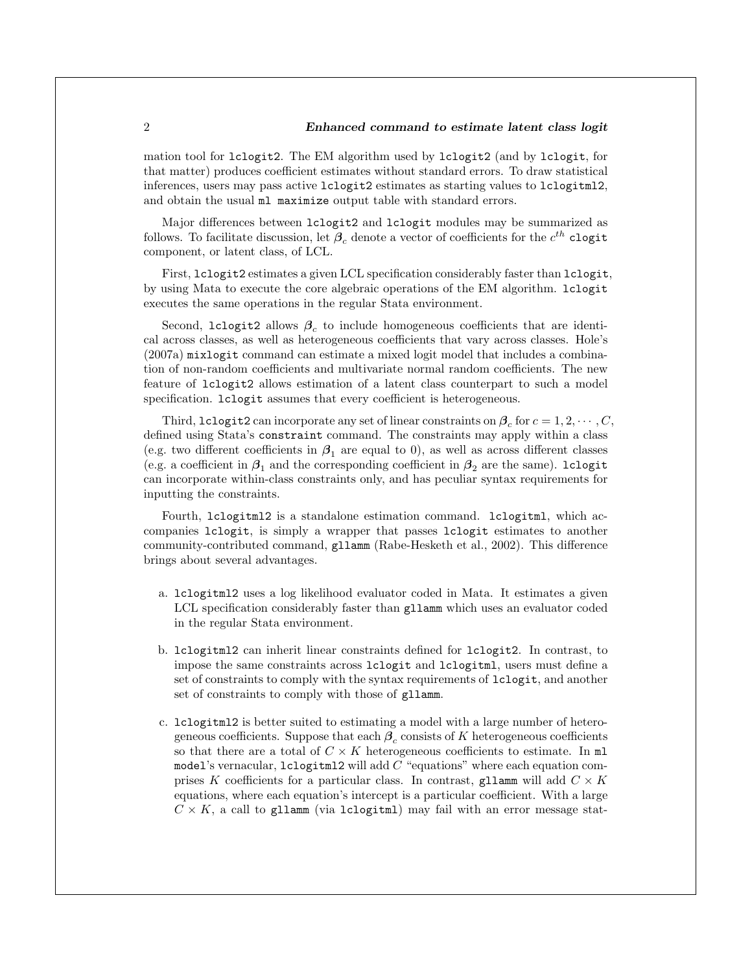mation tool for lclogit2. The EM algorithm used by lclogit2 (and by lclogit, for that matter) produces coefficient estimates without standard errors. To draw statistical inferences, users may pass active lclogit2 estimates as starting values to lclogitml2, and obtain the usual  $m1$  maximize output table with standard errors.

Major differences between lclogit2 and lclogit modules may be summarized as follows. To facilitate discussion, let  $\bm{\beta}_c$  denote a vector of coefficients for the  $c^{th}$  clogit component, or latent class, of LCL.

First, lclogit2 estimates a given LCL specification considerably faster than lclogit, by using Mata to execute the core algebraic operations of the EM algorithm. lclogit executes the same operations in the regular Stata environment.

Second, lclogit2 allows  $\beta_c$  to include homogeneous coefficients that are identical across classes, as well as heterogeneous coefficients that vary across classes. Hole's (2007a) mixlogit command can estimate a mixed logit model that includes a combination of non-random coefficients and multivariate normal random coefficients. The new feature of lclogit2 allows estimation of a latent class counterpart to such a model specification. lclogit assumes that every coefficient is heterogeneous.

Third, lclogit2 can incorporate any set of linear constraints on  $\beta_c$  for  $c = 1, 2, \cdots, C$ , defined using Stata's constraint command. The constraints may apply within a class (e.g. two different coefficients in  $\beta_1$  are equal to 0), as well as across different classes (e.g. a coefficient in  $\beta_1$  and the corresponding coefficient in  $\beta_2$  are the same). lclogit can incorporate within-class constraints only, and has peculiar syntax requirements for inputting the constraints.

Fourth, lclogitml2 is a standalone estimation command. lclogitml, which accompanies lclogit, is simply a wrapper that passes lclogit estimates to another community-contributed command, gllamm (Rabe-Hesketh et al., 2002). This difference brings about several advantages.

- a. lclogitml2 uses a log likelihood evaluator coded in Mata. It estimates a given LCL specification considerably faster than gllamm which uses an evaluator coded in the regular Stata environment.
- b. lclogitml2 can inherit linear constraints defined for lclogit2. In contrast, to impose the same constraints across lclogit and lclogitml, users must define a set of constraints to comply with the syntax requirements of lclogit, and another set of constraints to comply with those of gllamm.
- c. lclogitml2 is better suited to estimating a model with a large number of heterogeneous coefficients. Suppose that each  $\beta_c$  consists of K heterogeneous coefficients so that there are a total of  $C \times K$  heterogeneous coefficients to estimate. In m model's vernacular,  $lclogitm12$  will add  $C$  "equations" where each equation comprises K coefficients for a particular class. In contrast, gllamm will add  $C \times K$ equations, where each equation's intercept is a particular coefficient. With a large  $C \times K$ , a call to gllamm (via lclogitml) may fail with an error message stat-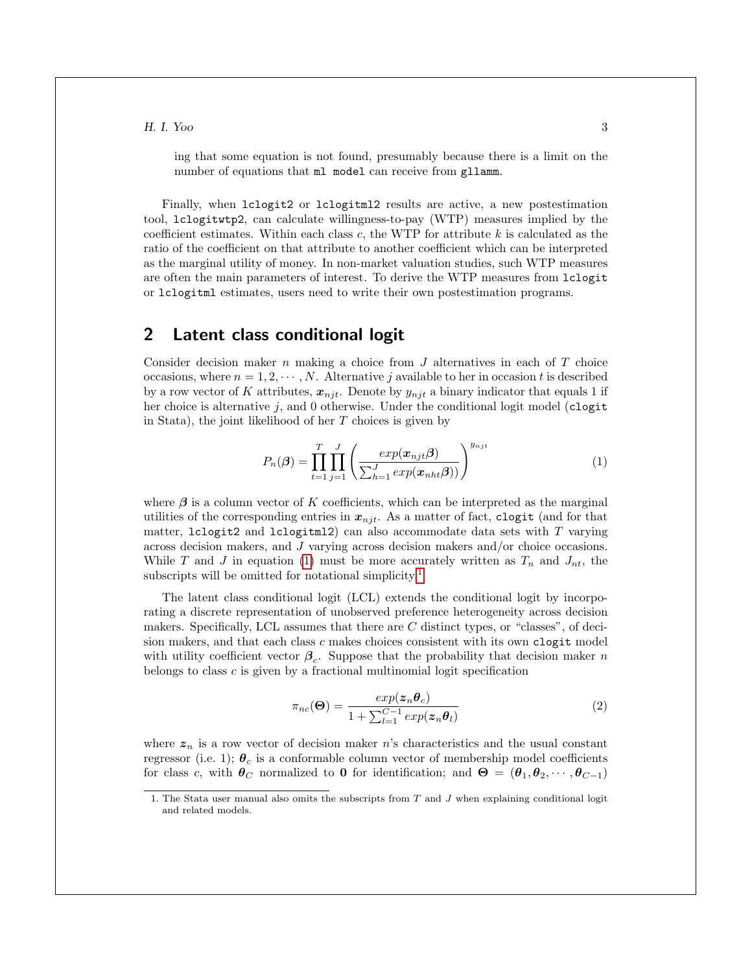ing that some equation is not found, presumably because there is a limit on the number of equations that  $m1$  model can receive from gllamm.

Finally, when  $lclogit2$  or  $lclogitml2$  results are active, a new postestimation tool, lclogitwtp2, can calculate willingness-to-pay (WTP) measures implied by the coefficient estimates. Within each class  $c$ , the WTP for attribute  $k$  is calculated as the ratio of the coefficient on that attribute to another coefficient which can be interpreted as the marginal utility of money. In non-market valuation studies, such WTP measures are often the main parameters of interest. To derive the WTP measures from lclogit or lclogitml estimates, users need to write their own postestimation programs.

#### 2 Latent class conditional logit

Consider decision maker  $n$  making a choice from  $J$  alternatives in each of  $T$  choice occasions, where  $n = 1, 2, \cdots, N$ . Alternative j available to her in occasion t is described by a row vector of K attributes,  $x_{njt}$ . Denote by  $y_{njt}$  a binary indicator that equals 1 if her choice is alternative j, and 0 otherwise. Under the conditional logit model (clogit in Stata), the joint likelihood of her  $T$  choices is given by

<span id="page-3-0"></span>
$$
P_n(\boldsymbol{\beta}) = \prod_{t=1}^T \prod_{j=1}^J \left( \frac{exp(\boldsymbol{x}_{njt}\boldsymbol{\beta})}{\sum_{h=1}^J exp(\boldsymbol{x}_{nht}\boldsymbol{\beta}))} \right)^{y_{njt}} \tag{1}
$$

where  $\beta$  is a column vector of K coefficients, which can be interpreted as the marginal utilities of the corresponding entries in  $x_{njt}$ . As a matter of fact, clogit (and for that matter,  $lclogit2$  and  $lclogitml2$ ) can also accommodate data sets with  $T$  varying across decision makers, and J varying across decision makers and/or choice occasions. While T and J in equation [\(1\)](#page-3-0) must be more accurately written as  $T_n$  and  $J_{nt}$ , the subscripts will be omitted for notational simplicity.<sup>[1](#page-3-1)</sup>

The latent class conditional logit (LCL) extends the conditional logit by incorporating a discrete representation of unobserved preference heterogeneity across decision makers. Specifically, LCL assumes that there are C distinct types, or "classes", of decision makers, and that each class  $c$  makes choices consistent with its own clogit model with utility coefficient vector  $\beta_c$ . Suppose that the probability that decision maker n belongs to class c is given by a fractional multinomial logit specification

<span id="page-3-2"></span>
$$
\pi_{nc}(\Theta) = \frac{exp(z_n \theta_c)}{1 + \sum_{l=1}^{C-1} exp(z_n \theta_l)}
$$
(2)

where  $z_n$  is a row vector of decision maker n's characteristics and the usual constant regressor (i.e. 1);  $\theta_c$  is a conformable column vector of membership model coefficients for class c, with  $\theta_C$  normalized to 0 for identification; and  $\Theta = (\theta_1, \theta_2, \cdots, \theta_{C-1})$ 

<span id="page-3-1"></span><sup>1.</sup> The Stata user manual also omits the subscripts from T and J when explaining conditional logit and related models.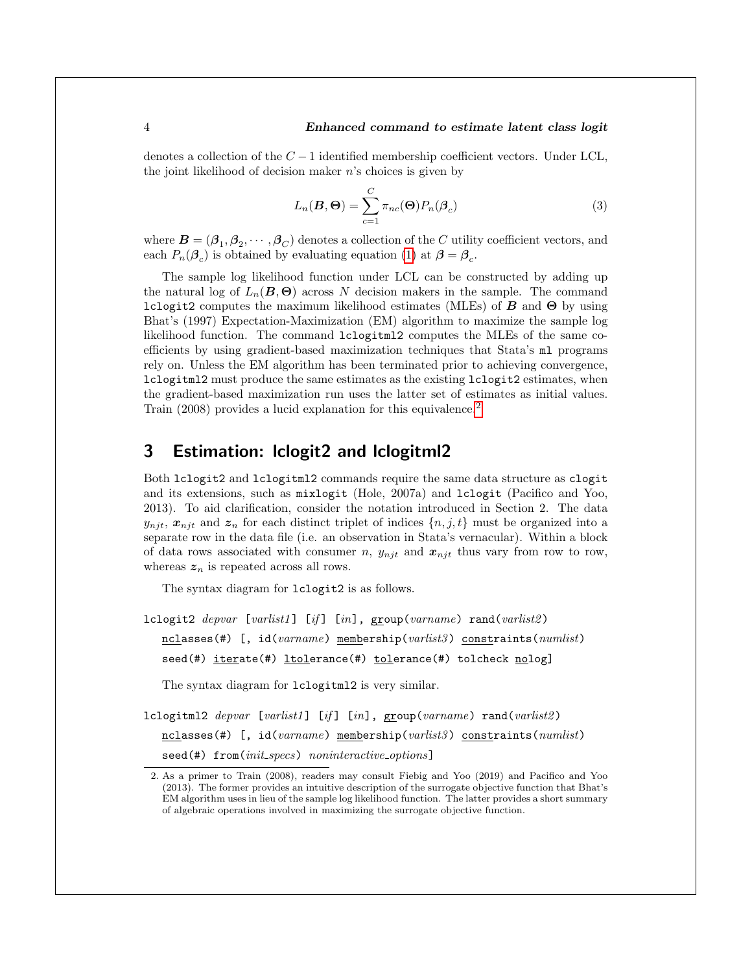denotes a collection of the  $C-1$  identified membership coefficient vectors. Under LCL, the joint likelihood of decision maker  $n$ 's choices is given by

<span id="page-4-1"></span>
$$
L_n(\boldsymbol{B}, \boldsymbol{\Theta}) = \sum_{c=1}^C \pi_{nc}(\boldsymbol{\Theta}) P_n(\boldsymbol{\beta}_c)
$$
\n(3)

where  $\bm{B}=(\bm{\beta}_1,\bm{\beta}_2,\cdots,\bm{\beta}_C)$  denotes a collection of the C utility coefficient vectors, and each  $P_n(\mathcal{B}_c)$  is obtained by evaluating equation [\(1\)](#page-3-0) at  $\mathcal{B} = \mathcal{B}_c$ .

The sample log likelihood function under LCL can be constructed by adding up the natural log of  $L_n(\mathbf{B}, \Theta)$  across N decision makers in the sample. The command lclogit2 computes the maximum likelihood estimates (MLEs) of  $\bm{B}$  and  $\bm{\Theta}$  by using Bhat's (1997) Expectation-Maximization (EM) algorithm to maximize the sample log likelihood function. The command lclogitml2 computes the MLEs of the same coefficients by using gradient-based maximization techniques that Stata's ml programs rely on. Unless the EM algorithm has been terminated prior to achieving convergence, lclogitml2 must produce the same estimates as the existing lclogit2 estimates, when the gradient-based maximization run uses the latter set of estimates as initial values. Train ([2](#page-4-0)008) provides a lucid explanation for this equivalence.<sup>2</sup>

# 3 Estimation: lclogit2 and lclogitml2

Both lclogit2 and lclogitml2 commands require the same data structure as clogit and its extensions, such as mixlogit (Hole, 2007a) and lclogit (Pacifico and Yoo, 2013). To aid clarification, consider the notation introduced in Section 2. The data  $y_{njt}, x_{njt}$  and  $z_n$  for each distinct triplet of indices  $\{n, j, t\}$  must be organized into a separate row in the data file (i.e. an observation in Stata's vernacular). Within a block of data rows associated with consumer n,  $y_{njt}$  and  $x_{njt}$  thus vary from row to row, whereas  $z_n$  is repeated across all rows.

The syntax diagram for lclogit2 is as follows.

lclogit2 depvar [varlist1] [if] [in],  $\text{group}(\text{varname})$  rand(varlist2)  $nclasses$ (#) [, id(varname) membership(varlist3) constraints(numlist) seed(#) iterate(#) ltolerance(#) tolerance(#) tolcheck nolog]

The syntax diagram for lclogitml2 is very similar.

lclogitml2 depvar [varlist1] [if] [in],  $\text{group}(\text{varname})$  rand(varlist2) nclasses(#) [, id(varname) membership(varlist3) constraints(numlist) seed(#) from(init\_specs) noninteractive\_options]

<span id="page-4-0"></span><sup>2.</sup> As a primer to Train (2008), readers may consult Fiebig and Yoo (2019) and Pacifico and Yoo (2013). The former provides an intuitive description of the surrogate objective function that Bhat's EM algorithm uses in lieu of the sample log likelihood function. The latter provides a short summary of algebraic operations involved in maximizing the surrogate objective function.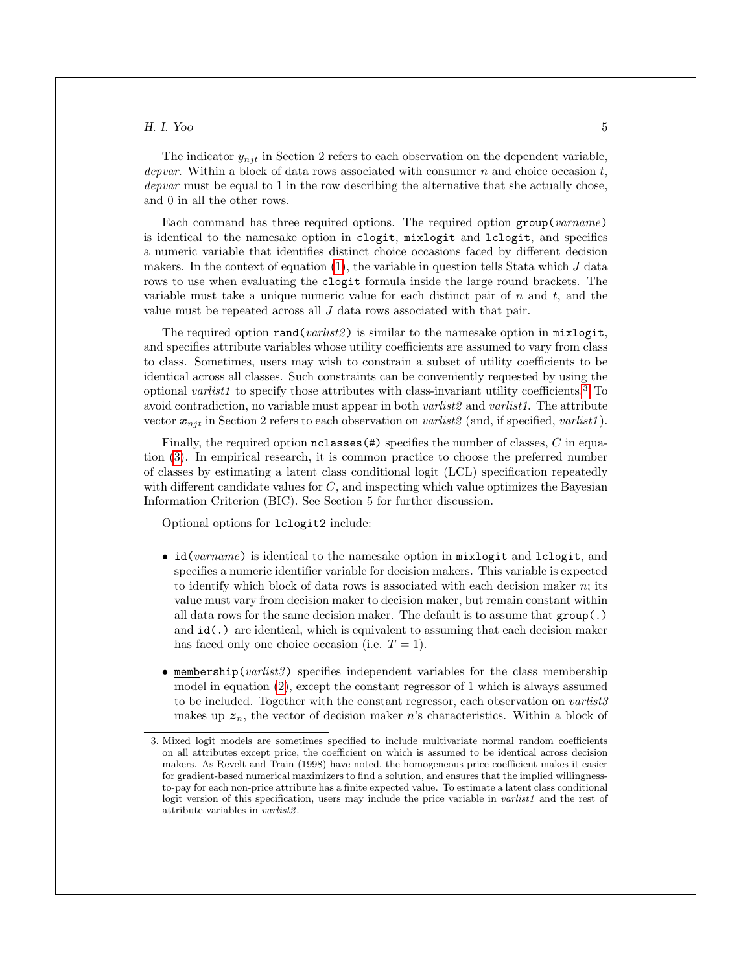The indicator  $y_{nik}$  in Section 2 refers to each observation on the dependent variable, depvar. Within a block of data rows associated with consumer n and choice occasion t, depvar must be equal to 1 in the row describing the alternative that she actually chose, and 0 in all the other rows.

Each command has three required options. The required option group(varname) is identical to the namesake option in clogit, mixlogit and lclogit, and specifies a numeric variable that identifies distinct choice occasions faced by different decision makers. In the context of equation  $(1)$ , the variable in question tells Stata which  $J$  data rows to use when evaluating the clogit formula inside the large round brackets. The variable must take a unique numeric value for each distinct pair of  $n$  and  $t$ , and the value must be repeated across all J data rows associated with that pair.

The required option rand(*varlist2*) is similar to the namesake option in mixlogit, and specifies attribute variables whose utility coefficients are assumed to vary from class to class. Sometimes, users may wish to constrain a subset of utility coefficients to be identical across all classes. Such constraints can be conveniently requested by using the optional varlist1 to specify those attributes with class-invariant utility coefficients.<sup>[3](#page-5-0)</sup> To avoid contradiction, no variable must appear in both *varlist2* and *varlist1*. The attribute vector  $x_{nji}$  in Section 2 refers to each observation on varilist 2 (and, if specified, varilist 1).

Finally, the required option  $nclasses(\#)$  specifies the number of classes, C in equation [\(3\)](#page-4-1). In empirical research, it is common practice to choose the preferred number of classes by estimating a latent class conditional logit (LCL) specification repeatedly with different candidate values for  $C$ , and inspecting which value optimizes the Bayesian Information Criterion (BIC). See Section 5 for further discussion.

Optional options for lclogit2 include:

- id(varname) is identical to the namesake option in mixlogit and lclogit, and specifies a numeric identifier variable for decision makers. This variable is expected to identify which block of data rows is associated with each decision maker  $n$ ; its value must vary from decision maker to decision maker, but remain constant within all data rows for the same decision maker. The default is to assume that group(.) and  $id(.)$  are identical, which is equivalent to assuming that each decision maker has faced only one choice occasion (i.e.  $T = 1$ ).
- membership( $variables$ ) specifies independent variables for the class membership model in equation [\(2\)](#page-3-2), except the constant regressor of 1 which is always assumed to be included. Together with the constant regressor, each observation on  $varlist3$ makes up  $z_n$ , the vector of decision maker n's characteristics. Within a block of

<span id="page-5-0"></span><sup>3.</sup> Mixed logit models are sometimes specified to include multivariate normal random coefficients on all attributes except price, the coefficient on which is assumed to be identical across decision makers. As Revelt and Train (1998) have noted, the homogeneous price coefficient makes it easier for gradient-based numerical maximizers to find a solution, and ensures that the implied willingnessto-pay for each non-price attribute has a finite expected value. To estimate a latent class conditional logit version of this specification, users may include the price variable in *varlist1* and the rest of attribute variables in varlist2 .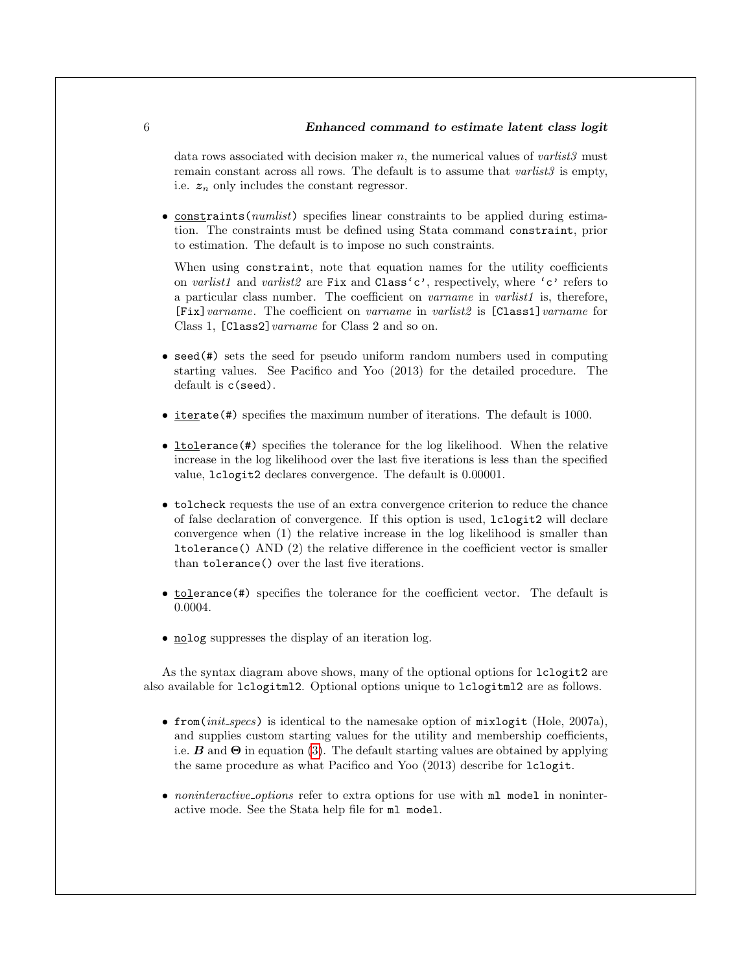#### 6 Enhanced command to estimate latent class logit

data rows associated with decision maker n, the numerical values of  $varlist3$  must remain constant across all rows. The default is to assume that *varlist3* is empty, i.e.  $z_n$  only includes the constant regressor.

• constraints(*numlist*) specifies linear constraints to be applied during estimation. The constraints must be defined using Stata command constraint, prior to estimation. The default is to impose no such constraints.

When using constraint, note that equation names for the utility coefficients on varlist1 and varlist2 are Fix and Class'c', respectively, where 'c' refers to a particular class number. The coefficient on *varname* in *varlist1* is, therefore, [Fix] varname. The coefficient on varname in varilist2 is [Class1] varname for Class 1, [Class2] varname for Class 2 and so on.

- seed(#) sets the seed for pseudo uniform random numbers used in computing starting values. See Pacifico and Yoo (2013) for the detailed procedure. The default is c(seed).
- iterate(#) specifies the maximum number of iterations. The default is 1000.
- ltolerance(#) specifies the tolerance for the log likelihood. When the relative increase in the log likelihood over the last five iterations is less than the specified value, lclogit2 declares convergence. The default is 0.00001.
- tolcheck requests the use of an extra convergence criterion to reduce the chance of false declaration of convergence. If this option is used, lclogit2 will declare convergence when (1) the relative increase in the log likelihood is smaller than ltolerance() AND (2) the relative difference in the coefficient vector is smaller than tolerance() over the last five iterations.
- tolerance (#) specifies the tolerance for the coefficient vector. The default is 0.0004.
- nolog suppresses the display of an iteration log.

As the syntax diagram above shows, many of the optional options for lclogit2 are also available for lclogitml2. Optional options unique to lclogitml2 are as follows.

- from( $init\text{-}species$ ) is identical to the namesake option of  $mixlogit$  (Hole, 2007a), and supplies custom starting values for the utility and membership coefficients, i.e. **B** and  $\Theta$  in equation [\(3\)](#page-4-1). The default starting values are obtained by applying the same procedure as what Pacifico and Yoo (2013) describe for lclogit.
- noninteractive options refer to extra options for use with  $m1$  model in noninteractive mode. See the Stata help file for ml model.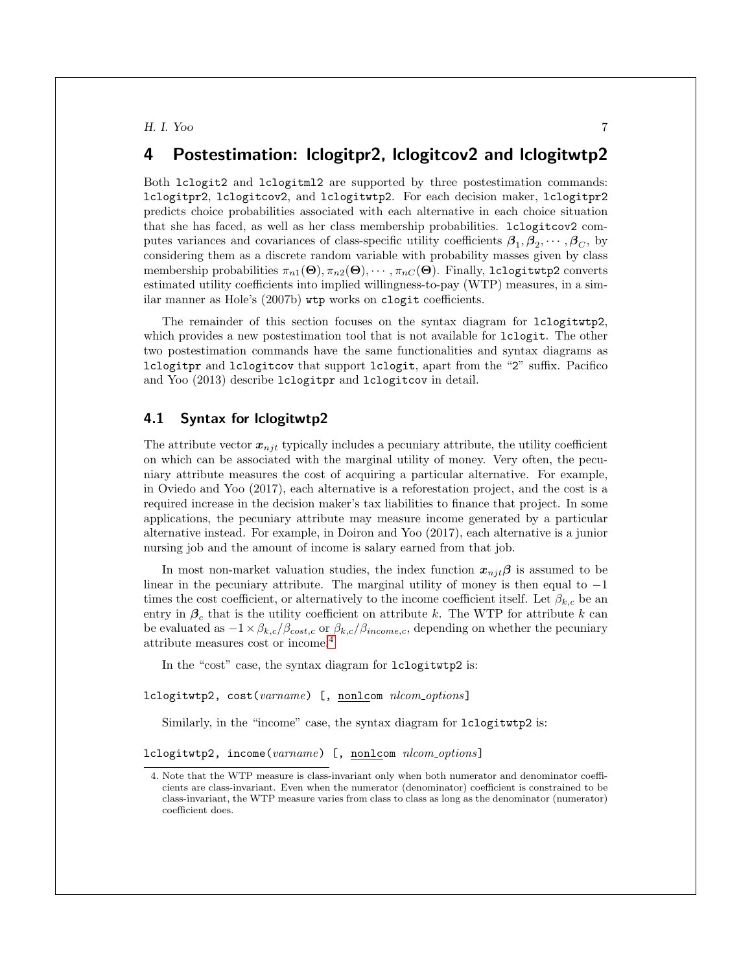# 4 Postestimation: lclogitpr2, lclogitcov2 and lclogitwtp2

Both lclogit2 and lclogitml2 are supported by three postestimation commands: lclogitpr2, lclogitcov2, and lclogitwtp2. For each decision maker, lclogitpr2 predicts choice probabilities associated with each alternative in each choice situation that she has faced, as well as her class membership probabilities. lclogitcov2 computes variances and covariances of class-specific utility coefficients  $\beta_1, \beta_2, \cdots, \beta_C$ , by considering them as a discrete random variable with probability masses given by class membership probabilities  $\pi_{n1}(\Theta), \pi_{n2}(\Theta), \cdots, \pi_{nC}(\Theta)$ . Finally, 1clogitwtp2 converts estimated utility coefficients into implied willingness-to-pay (WTP) measures, in a similar manner as Hole's (2007b) wtp works on clogit coefficients.

The remainder of this section focuses on the syntax diagram for lclogitwtp2, which provides a new postestimation tool that is not available for  $lclogit$ . The other two postestimation commands have the same functionalities and syntax diagrams as lclogitpr and lclogitcov that support lclogit, apart from the "2" suffix. Pacifico and Yoo (2013) describe lclogitpr and lclogitcov in detail.

#### 4.1 Syntax for lclogitwtp2

The attribute vector  $x_{nji}$  typically includes a pecuniary attribute, the utility coefficient on which can be associated with the marginal utility of money. Very often, the pecuniary attribute measures the cost of acquiring a particular alternative. For example, in Oviedo and Yoo (2017), each alternative is a reforestation project, and the cost is a required increase in the decision maker's tax liabilities to finance that project. In some applications, the pecuniary attribute may measure income generated by a particular alternative instead. For example, in Doiron and Yoo (2017), each alternative is a junior nursing job and the amount of income is salary earned from that job.

In most non-market valuation studies, the index function  $x_{nji}\beta$  is assumed to be linear in the pecuniary attribute. The marginal utility of money is then equal to −1 times the cost coefficient, or alternatively to the income coefficient itself. Let  $\beta_{k,c}$  be an entry in  $\beta_c$  that is the utility coefficient on attribute k. The WTP for attribute k can be evaluated as  $-1 \times \beta_{k,c}/\beta_{cost,c}$  or  $\beta_{k,c}/\beta_{income,c}$ , depending on whether the pecuniary attribute measures cost or income.[4](#page-7-0)

In the "cost" case, the syntax diagram for lclogitwtp2 is:

lclogitwtp2, cost(varname) [, nonlcom nlcom\_options]

Similarly, in the "income" case, the syntax diagram for lclogitwtp2 is:

lclogitwtp2, income(varname) [, nonlcom nlcom\_options]

<span id="page-7-0"></span><sup>4.</sup> Note that the WTP measure is class-invariant only when both numerator and denominator coefficients are class-invariant. Even when the numerator (denominator) coefficient is constrained to be class-invariant, the WTP measure varies from class to class as long as the denominator (numerator) coefficient does.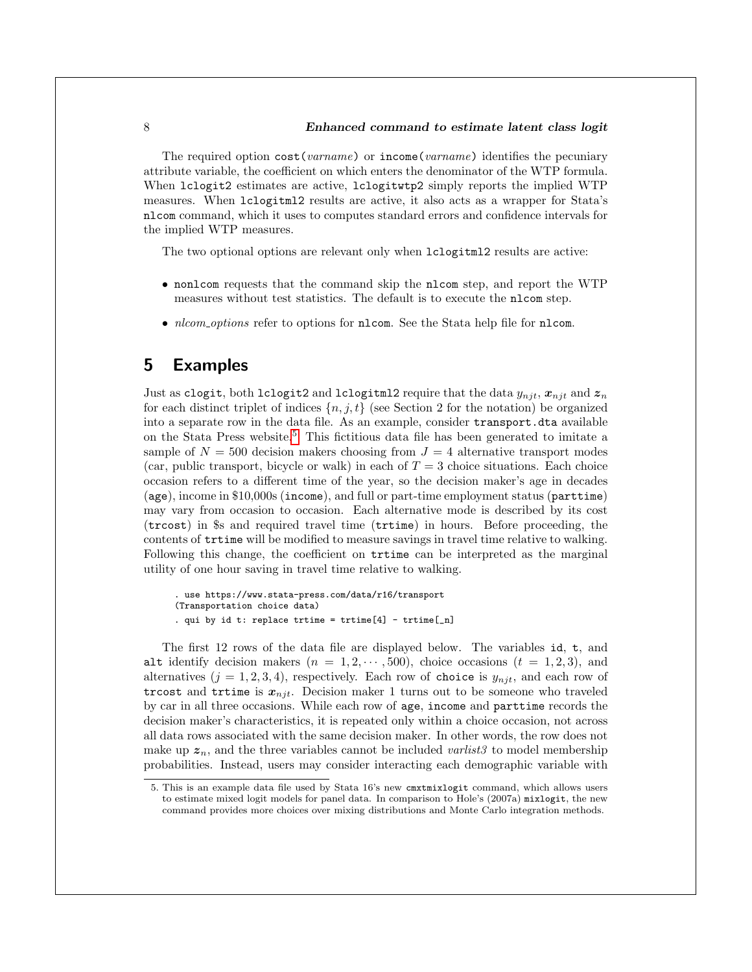The required option  $cost(varname)$  or  $income(varname)$  identifies the pecuniary attribute variable, the coefficient on which enters the denominator of the WTP formula. When lclogit2 estimates are active, lclogitwtp2 simply reports the implied WTP measures. When lclogitml2 results are active, it also acts as a wrapper for Stata's nlcom command, which it uses to computes standard errors and confidence intervals for the implied WTP measures.

The two optional options are relevant only when lclogitml2 results are active:

- nonlcom requests that the command skip the nlcom step, and report the WTP measures without test statistics. The default is to execute the nlcom step.
- *nlcom\_options* refer to options for **nlcom**. See the Stata help file for **nlcom**.

# 5 Examples

Just as clogit, both lclogit2 and lclogitml2 require that the data  $y_{njt}$ ,  $x_{njt}$  and  $z_n$ for each distinct triplet of indices  $\{n, j, t\}$  (see Section 2 for the notation) be organized into a separate row in the data file. As an example, consider transport.dta available on the Stata Press website.[5](#page-8-0) This fictitious data file has been generated to imitate a sample of  $N = 500$  decision makers choosing from  $J = 4$  alternative transport modes (car, public transport, bicycle or walk) in each of  $T = 3$  choice situations. Each choice occasion refers to a different time of the year, so the decision maker's age in decades (age), income in \$10,000s (income), and full or part-time employment status (parttime) may vary from occasion to occasion. Each alternative mode is described by its cost (trcost) in \$s and required travel time (trtime) in hours. Before proceeding, the contents of trtime will be modified to measure savings in travel time relative to walking. Following this change, the coefficient on trtime can be interpreted as the marginal utility of one hour saving in travel time relative to walking.

```
. use https://www.stata-press.com/data/r16/transport
(Transportation choice data)
. qui by id t: replace trtime = trtime[4] - trtime[1]
```
The first 12 rows of the data file are displayed below. The variables id, t, and alt identify decision makers  $(n = 1, 2, \dots, 500)$ , choice occasions  $(t = 1, 2, 3)$ , and alternatives  $(j = 1, 2, 3, 4)$ , respectively. Each row of choice is  $y_{nji}$ , and each row of trcost and trtime is  $x_{nji}$ . Decision maker 1 turns out to be someone who traveled by car in all three occasions. While each row of age, income and parttime records the decision maker's characteristics, it is repeated only within a choice occasion, not across all data rows associated with the same decision maker. In other words, the row does not make up  $z_n$ , and the three variables cannot be included varilist to model membership probabilities. Instead, users may consider interacting each demographic variable with

<span id="page-8-0"></span><sup>5.</sup> This is an example data file used by Stata 16's new cmxtmixlogit command, which allows users to estimate mixed logit models for panel data. In comparison to Hole's (2007a) mixlogit, the new command provides more choices over mixing distributions and Monte Carlo integration methods.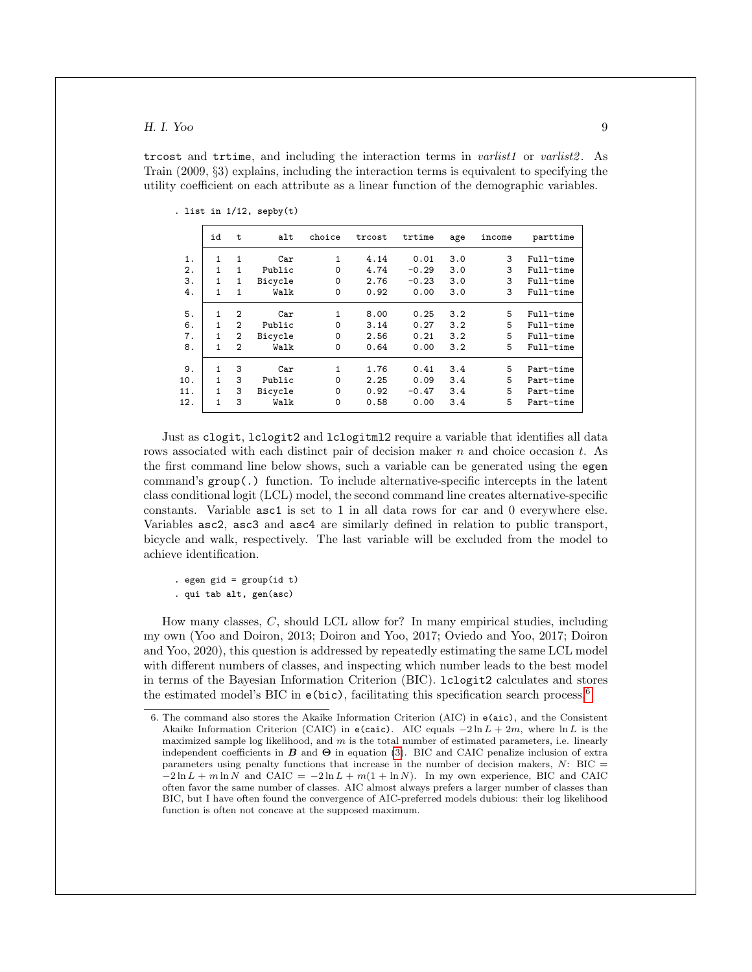trcost and trtime, and including the interaction terms in *varlist1* or *varlist2*. As Train (2009, §3) explains, including the interaction terms is equivalent to specifying the utility coefficient on each attribute as a linear function of the demographic variables.

|     | id | t              | alt     | choice   | trcost | trtime  | age | income | parttime  |
|-----|----|----------------|---------|----------|--------|---------|-----|--------|-----------|
| 1.  | 1  | 1              | Car     | 1        | 4.14   | 0.01    | 3.0 | 3      | Full-time |
| 2.  | 1  | 1              | Public  | $\Omega$ | 4.74   | $-0.29$ | 3.0 | 3      | Full-time |
| 3.  | 1  | 1              | Bicycle | $\Omega$ | 2.76   | $-0.23$ | 3.0 | 3      | Full-time |
| 4.  | 1  | 1              | Walk    | $\Omega$ | 0.92   | 0.00    | 3.0 | 3      | Full-time |
| 5.  | 1  | 2              | Car     | 1        | 8.00   | 0.25    | 3.2 | 5      | Full-time |
| 6.  | 1  | $\overline{2}$ | Public  | $\Omega$ | 3.14   | 0.27    | 3.2 | 5      | Full-time |
| 7.  | 1  | $\overline{2}$ | Bicycle | $\Omega$ | 2.56   | 0.21    | 3.2 | 5      | Full-time |
| 8.  | 1  | $\overline{2}$ | Walk    | $\Omega$ | 0.64   | 0.00    | 3.2 | 5      | Full-time |
| 9.  | 1  | 3              | Car     | 1        | 1.76   | 0.41    | 3.4 | 5      | Part-time |
| 10. | 1  | 3              | Public  | $\Omega$ | 2.25   | 0.09    | 3.4 | 5      | Part-time |
| 11. | 1  | 3              | Bicycle | $\Omega$ | 0.92   | $-0.47$ | 3.4 | 5      | Part-time |
| 12. | 1  | 3              | Walk    | $\Omega$ | 0.58   | 0.00    | 3.4 | 5      | Part-time |
|     |    |                |         |          |        |         |     |        |           |

. list in  $1/12$ , sepby $(t)$ 

Just as clogit, lclogit2 and lclogitml2 require a variable that identifies all data rows associated with each distinct pair of decision maker  $n$  and choice occasion  $t$ . As the first command line below shows, such a variable can be generated using the egen command's group(.) function. To include alternative-specific intercepts in the latent class conditional logit (LCL) model, the second command line creates alternative-specific constants. Variable asc1 is set to 1 in all data rows for car and 0 everywhere else. Variables asc2, asc3 and asc4 are similarly defined in relation to public transport, bicycle and walk, respectively. The last variable will be excluded from the model to achieve identification.

. egen gid =  $group(id t)$ 

. qui tab alt, gen(asc)

How many classes, C, should LCL allow for? In many empirical studies, including my own (Yoo and Doiron, 2013; Doiron and Yoo, 2017; Oviedo and Yoo, 2017; Doiron and Yoo, 2020), this question is addressed by repeatedly estimating the same LCL model with different numbers of classes, and inspecting which number leads to the best model in terms of the Bayesian Information Criterion (BIC). lclogit2 calculates and stores the estimated model's BIC in  $e(bic)$ , facilitating this specification search process.<sup>[6](#page-9-0)</sup>

<span id="page-9-0"></span><sup>6.</sup> The command also stores the Akaike Information Criterion (AIC) in e(aic), and the Consistent Akaike Information Criterion (CAIC) in e(caic). AIC equals  $-2 \ln L + 2m$ , where  $\ln L$  is the maximized sample log likelihood, and  $m$  is the total number of estimated parameters, i.e. linearly independent coefficients in  $B$  and  $\Theta$  in equation [\(3\)](#page-4-1). BIC and CAIC penalize inclusion of extra parameters using penalty functions that increase in the number of decision makers,  $N:$  BIC =  $-2 \ln L + m \ln N$  and CAIC =  $-2 \ln L + m(1 + \ln N)$ . In my own experience, BIC and CAIC often favor the same number of classes. AIC almost always prefers a larger number of classes than BIC, but I have often found the convergence of AIC-preferred models dubious: their log likelihood function is often not concave at the supposed maximum.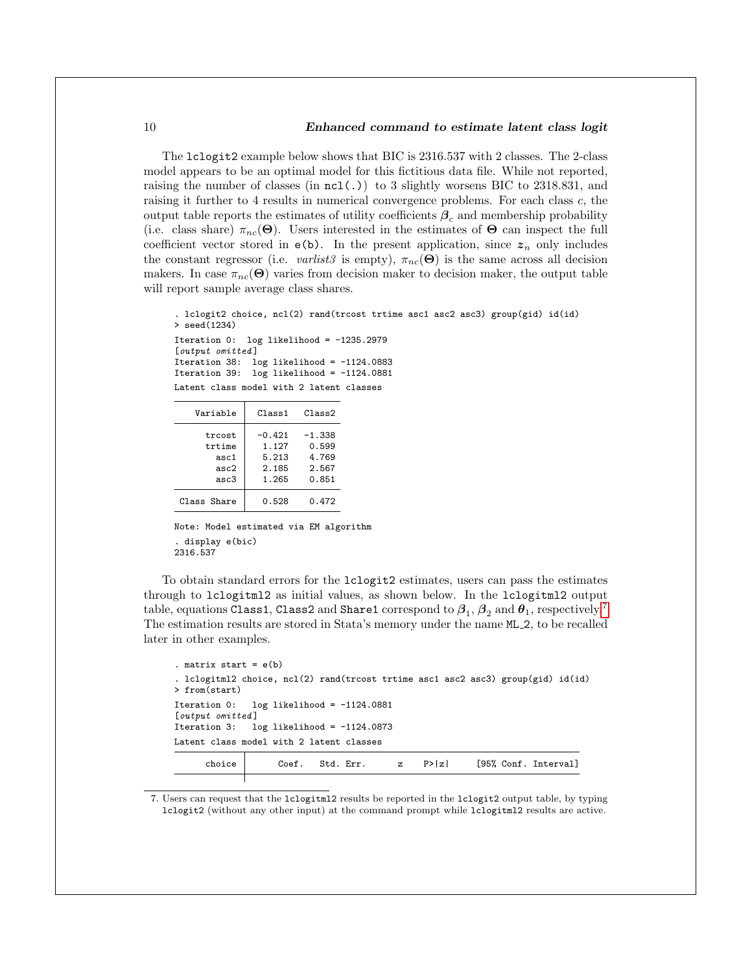#### 10 Enhanced command to estimate latent class logit

The lclogit2 example below shows that BIC is 2316.537 with 2 classes. The 2-class model appears to be an optimal model for this fictitious data file. While not reported, raising the number of classes (in  $nc1(.)$ ) to 3 slightly worsens BIC to 2318.831, and raising it further to 4 results in numerical convergence problems. For each class c, the output table reports the estimates of utility coefficients  $\beta_c$  and membership probability (i.e. class share)  $\pi_{nc}(\Theta)$ . Users interested in the estimates of  $\Theta$  can inspect the full coefficient vector stored in  $e(b)$ . In the present application, since  $z_n$  only includes the constant regressor (i.e. varlist3 is empty),  $\pi_{nc}(\Theta)$  is the same across all decision makers. In case  $\pi_{nc}(\Theta)$  varies from decision maker to decision maker, the output table will report sample average class shares.

```
. lclogit2 choice, ncl(2) rand(trcost trtime asc1 asc2 asc3) group(gid) id(id)
> seed(1234)
Iteration 0: log likelihood = -1235.2979[output omitted]
Iteration 38: log likelihood = -1124.0883
Iteration 39: log likelihood = -1124.0881
Latent class model with 2 latent classes
```

| Variable    | Class 1  | Class2   |
|-------------|----------|----------|
| trcost      | $-0.421$ | $-1.338$ |
| trtime      | 1.127    | 0.599    |
| asc1        | 5.213    | 4.769    |
| asc2        | 2.185    | 2.567    |
| asc3        | 1.265    | 0.851    |
| Class Share | 0.528    | 0.472    |

Note: Model estimated via EM algorithm . display e(bic) 2316.537

To obtain standard errors for the lclogit2 estimates, users can pass the estimates through to lclogitml2 as initial values, as shown below. In the lclogitml2 output table, equations <code>Class1</code>, <code>Class2</code> and <code>Share1</code> correspond to  $\boldsymbol{\beta}_1,$   $\boldsymbol{\beta}_2$  and  $\boldsymbol{\theta}_1$ , respectively.<sup>[7](#page-10-0)</sup> The estimation results are stored in Stata's memory under the name ML 2, to be recalled later in other examples.

```
. matrix start = e(b). lclogitml2 choice, ncl(2) rand(trcost trtime asc1 asc2 asc3) group(gid) id(id)
> from(start)
Iteration 0: log likelihood = -1124.0881
[output omitted]
Iteration 3: log likelihood = -1124.0873
Latent class model with 2 latent classes
     choice Coef. Std. Err. z P>|z| [95%, Conf. Interval]
```
<span id="page-10-0"></span>7. Users can request that the lclogitml2 results be reported in the lclogit2 output table, by typing lclogit2 (without any other input) at the command prompt while lclogitml2 results are active.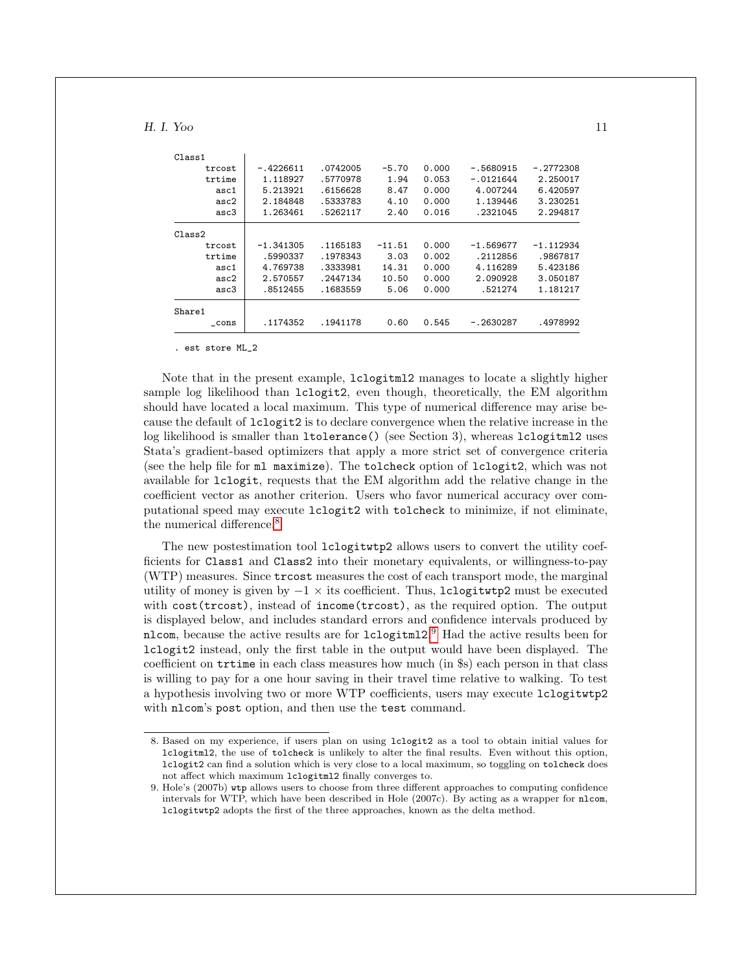| Class1   |             |           |          |       |             |             |
|----------|-------------|-----------|----------|-------|-------------|-------------|
| trcost   | $-.4226611$ | .0742005  | $-5.70$  | 0.000 | $-.5680915$ | $-.2772308$ |
| trtime   | 1.118927    | .5770978  | 1.94     | 0.053 | $-.0121644$ | 2.250017    |
| asc1     | 5.213921    | .6156628  | 8.47     | 0.000 | 4.007244    | 6.420597    |
| asc2     | 2.184848    | .5333783  | 4.10     | 0.000 | 1.139446    | 3.230251    |
| asc3     | 1.263461    | .5262117  | 2.40     | 0.016 | .2321045    | 2.294817    |
| Class2   |             |           |          |       |             |             |
| trcost   | $-1.341305$ | .1165183  | $-11.51$ | 0.000 | $-1.569677$ | $-1.112934$ |
| trtime   | .5990337    | . 1978343 | 3.03     | 0.002 | .2112856    | .9867817    |
| asc1     | 4.769738    | .3333981  | 14.31    | 0.000 | 4.116289    | 5.423186    |
| asc2     | 2.570557    | .2447134  | 10.50    | 0.000 | 2.090928    | 3.050187    |
| asc3     | .8512455    | .1683559  | 5.06     | 0.000 | .521274     | 1.181217    |
| Share1   |             |           |          |       |             |             |
| $\_cons$ | .1174352    | .1941178  | 0.60     | 0.545 | $-.2630287$ | .4978992    |

. est store ML\_2

Note that in the present example, lclogitml2 manages to locate a slightly higher sample log likelihood than lclogit2, even though, theoretically, the EM algorithm should have located a local maximum. This type of numerical difference may arise because the default of lclogit2 is to declare convergence when the relative increase in the log likelihood is smaller than ltolerance() (see Section 3), whereas lclogitml2 uses Stata's gradient-based optimizers that apply a more strict set of convergence criteria (see the help file for ml maximize). The tolcheck option of lclogit2, which was not available for lclogit, requests that the EM algorithm add the relative change in the coefficient vector as another criterion. Users who favor numerical accuracy over computational speed may execute lclogit2 with tolcheck to minimize, if not eliminate, the numerical difference.<sup>[8](#page-11-0)</sup>

The new postestimation tool lclogitwtp2 allows users to convert the utility coefficients for Class1 and Class2 into their monetary equivalents, or willingness-to-pay (WTP) measures. Since trcost measures the cost of each transport mode, the marginal utility of money is given by  $-1 \times$  its coefficient. Thus, lclogitwtp2 must be executed with cost(trcost), instead of income(trcost), as the required option. The output is displayed below, and includes standard errors and confidence intervals produced by nlcom, because the active results are for lclogitml2. [9](#page-11-1) Had the active results been for lclogit2 instead, only the first table in the output would have been displayed. The coefficient on trtime in each class measures how much (in \$s) each person in that class is willing to pay for a one hour saving in their travel time relative to walking. To test a hypothesis involving two or more WTP coefficients, users may execute lclogitwtp2 with nlcom's post option, and then use the test command.

<span id="page-11-0"></span><sup>8.</sup> Based on my experience, if users plan on using lclogit2 as a tool to obtain initial values for lclogitml2, the use of tolcheck is unlikely to alter the final results. Even without this option, lclogit2 can find a solution which is very close to a local maximum, so toggling on tolcheck does not affect which maximum lclogitml2 finally converges to.

<span id="page-11-1"></span><sup>9.</sup> Hole's (2007b) wtp allows users to choose from three different approaches to computing confidence intervals for WTP, which have been described in Hole (2007c). By acting as a wrapper for nlcom, lclogitwtp2 adopts the first of the three approaches, known as the delta method.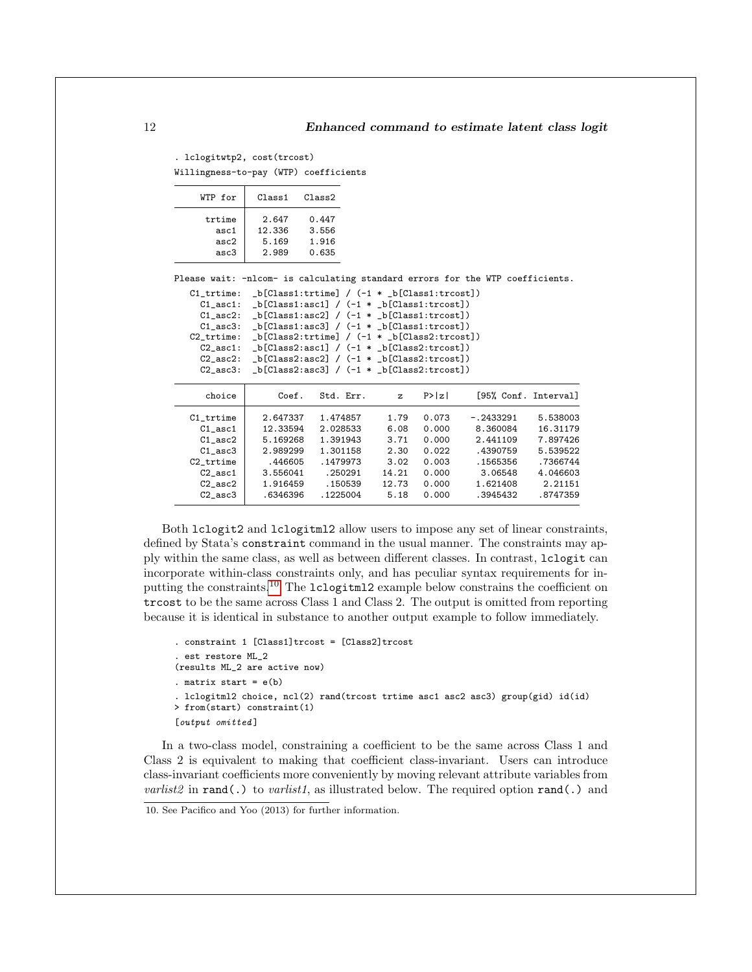. lclogitwtp2, cost(trcost) Willingness-to-pay (WTP) coefficients

| WTP for | $C1$ ass1 | Class2 |
|---------|-----------|--------|
| trtime  | 2.647     | 0.447  |
| asc1    | 12.336    | 3.556  |
| asc2    | 5.169     | 1.916  |
| asc3    | 2.989     | 0.635  |

Please wait: -nlcom- is calculating standard errors for the WTP coefficients.

| $C1$ trtime:   |  | $_b[Class1:trtime] / (-1 * b[Class1:troost])$ |
|----------------|--|-----------------------------------------------|
| $C1$ asc1:     |  | $_b[Class1:asc1] / (-1 * b[Class1:trost])$    |
| $C1$ asc2:     |  | $_b[Class1:asc2] / (-1 * b[Class1:trost])$    |
| $C1$ asc $3$ : |  | $_b[Class1:asc3] / (-1 * b[Class1:trost])$    |
| $C2$ trtime:   |  | $_b[Class2:trtime] / (-1 * b[Class2:troost])$ |
| $C2$ asc1:     |  | $_b[Class2:asc1] / (-1 * b[Class2:trost])$    |
| $C2$ asc $2$ : |  | $_b[Class2:asc2] / (-1 * b[Class2:trost])$    |
| $C2$ asc $3$ : |  | $_b[Class2:asc3] / (-1 * b[Class2:trost])$    |
|                |  |                                               |

| choice       | Coef.    | Std. Err. | z     | P>  z |             | [95% Conf. Interval] |
|--------------|----------|-----------|-------|-------|-------------|----------------------|
| C1 trtime    | 2.647337 | 1.474857  | 1.79  | 0.073 | $-.2433291$ | 5.538003             |
| $C1$ asc $1$ | 12.33594 | 2.028533  | 6.08  | 0.000 | 8.360084    | 16.31179             |
| $C1$ asc $2$ | 5.169268 | 1.391943  | 3.71  | 0.000 | 2.441109    | 7.897426             |
| $C1$ asc $3$ | 2.989299 | 1.301158  | 2.30  | 0.022 | .4390759    | 5.539522             |
| $C2$ _trtime | .446605  | .1479973  | 3.02  | 0.003 | .1565356    | .7366744             |
| $C2$ asc $1$ | 3.556041 | .250291   | 14.21 | 0.000 | 3.06548     | 4.046603             |
| $C2$ asc $2$ | 1.916459 | .150539   | 12.73 | 0.000 | 1.621408    | 2.21151              |
| $C2$ asc $3$ | .6346396 | .1225004  | 5.18  | 0.000 | .3945432    | .8747359             |

Both lclogit2 and lclogitml2 allow users to impose any set of linear constraints, defined by Stata's constraint command in the usual manner. The constraints may apply within the same class, as well as between different classes. In contrast, lclogit can incorporate within-class constraints only, and has peculiar syntax requirements for inputting the constraints.[10](#page-12-0) The lclogitml2 example below constrains the coefficient on trcost to be the same across Class 1 and Class 2. The output is omitted from reporting because it is identical in substance to another output example to follow immediately.

```
. constraint 1 [Class1]trcost = [Class2]trcost
. est restore ML_2
(results ML_2 are active now)
. matrix start = e(b). lclogitml2 choice, ncl(2) rand(trcost trtime asc1 asc2 asc3) group(gid) id(id)
> from(start) constraint(1)
[output omitted]
```
In a two-class model, constraining a coefficient to be the same across Class 1 and Class 2 is equivalent to making that coefficient class-invariant. Users can introduce class-invariant coefficients more conveniently by moving relevant attribute variables from *varlist2* in rand(.) to *varlist1*, as illustrated below. The required option rand(.) and

<span id="page-12-0"></span><sup>10.</sup> See Pacifico and Yoo (2013) for further information.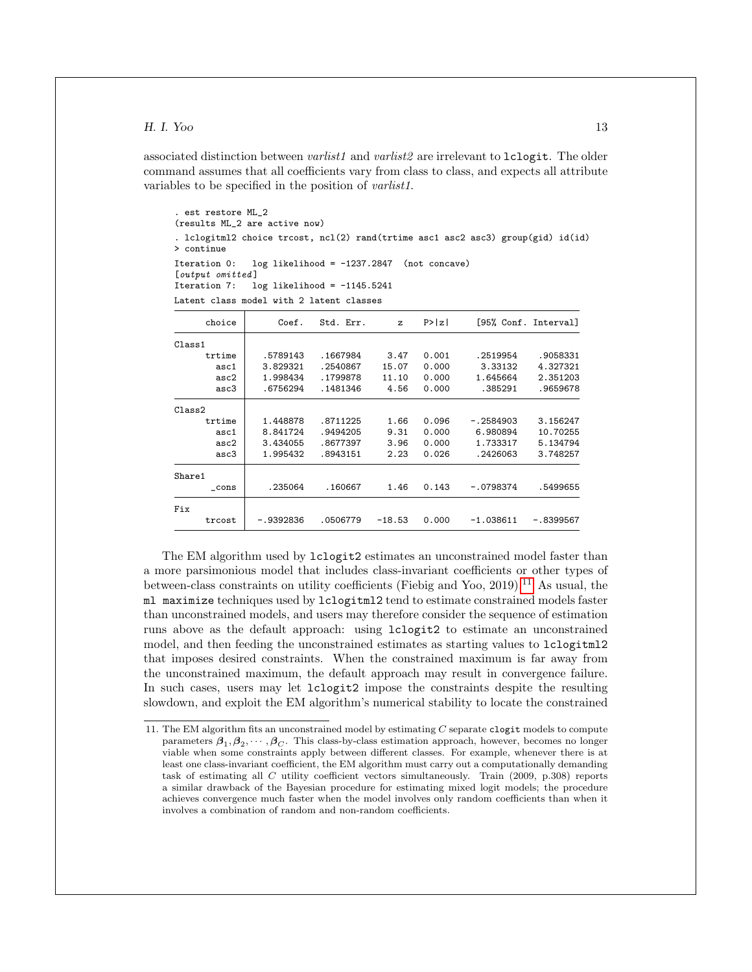associated distinction between *varlist1* and *varlist2* are irrelevant to  $lcl$ ogit. The older command assumes that all coefficients vary from class to class, and expects all attribute variables to be specified in the position of varlist1.

```
. est restore ML_2
(results ML_2 are active now)
. lclogitml2 choice trcost, ncl(2) rand(trtime asc1 asc2 asc3) group(gid) id(id)
> continue
Iteration 0: log likelihood = -1237.2847 (not concave)
[output omitted]<br>Iteration 7: 1
               log likelihood = -1145.5241Latent class model with 2 latent classes
```

| choice | Coef.       | Std. Err. | z        | P >  z |             | [95% Conf. Interval] |
|--------|-------------|-----------|----------|--------|-------------|----------------------|
| Class1 |             |           |          |        |             |                      |
| trtime | .5789143    | .1667984  | 3.47     | 0.001  | . 2519954   | .9058331             |
| asc1   | 3.829321    | .2540867  | 15.07    | 0.000  | 3.33132     | 4.327321             |
| asc2   | 1.998434    | .1799878  | 11.10    | 0.000  | 1.645664    | 2.351203             |
| asc3   | .6756294    | . 1481346 | 4.56     | 0.000  | .385291     | .9659678             |
| Class2 |             |           |          |        |             |                      |
| trtime | 1.448878    | .8711225  | 1.66     | 0.096  | $-.2584903$ | 3.156247             |
| asc1   | 8.841724    | .9494205  | 9.31     | 0.000  | 6.980894    | 10.70255             |
| asc2   | 3.434055    | .8677397  | 3.96     | 0.000  | 1.733317    | 5.134794             |
| asc3   | 1.995432    | .8943151  | 2.23     | 0.026  | .2426063    | 3.748257             |
| Share1 |             |           |          |        |             |                      |
| cons   | .235064     | .160667   | 1.46     | 0.143  | $-.0798374$ | .5499655             |
| Fix    |             |           |          |        |             |                      |
| trcost | $-.9392836$ | .0506779  | $-18.53$ | 0.000  | $-1.038611$ | -.8399567            |

The EM algorithm used by lclogit2 estimates an unconstrained model faster than a more parsimonious model that includes class-invariant coefficients or other types of between-class constraints on utility coefficients (Fiebig and Yoo, 2019).<sup>[11](#page-13-0)</sup> As usual, the ml maximize techniques used by lclogitml2 tend to estimate constrained models faster than unconstrained models, and users may therefore consider the sequence of estimation runs above as the default approach: using lclogit2 to estimate an unconstrained model, and then feeding the unconstrained estimates as starting values to lclogitml2 that imposes desired constraints. When the constrained maximum is far away from the unconstrained maximum, the default approach may result in convergence failure. In such cases, users may let lclogit2 impose the constraints despite the resulting slowdown, and exploit the EM algorithm's numerical stability to locate the constrained

<span id="page-13-0"></span><sup>11.</sup> The EM algorithm fits an unconstrained model by estimating  $C$  separate clogit models to compute parameters  $\beta_1, \beta_2, \cdots, \beta_C$ . This class-by-class estimation approach, however, becomes no longer viable when some constraints apply between different classes. For example, whenever there is at least one class-invariant coefficient, the EM algorithm must carry out a computationally demanding task of estimating all C utility coefficient vectors simultaneously. Train (2009, p.308) reports a similar drawback of the Bayesian procedure for estimating mixed logit models; the procedure achieves convergence much faster when the model involves only random coefficients than when it involves a combination of random and non-random coefficients.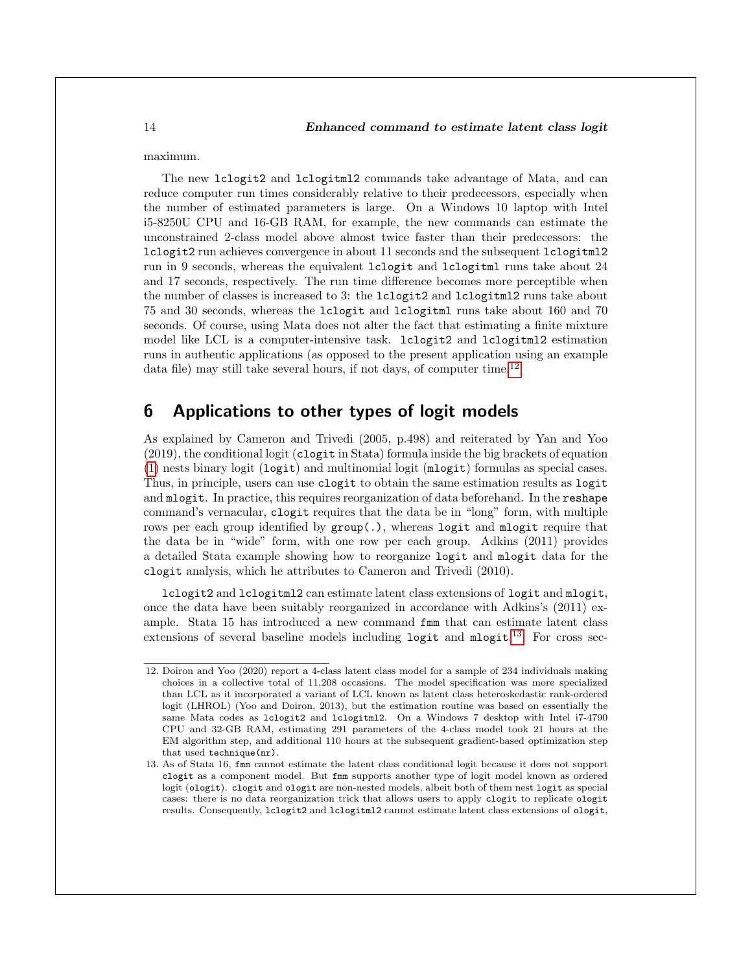maximum.

The new lclogit2 and lclogitml2 commands take advantage of Mata, and can reduce computer run times considerably relative to their predecessors, especially when the number of estimated parameters is large. On a Windows 10 laptop with Intel i5-8250U CPU and 16-GB RAM, for example, the new commands can estimate the unconstrained 2-class model above almost twice faster than their predecessors: the lclogit2 run achieves convergence in about 11 seconds and the subsequent lclogitml2 run in 9 seconds, whereas the equivalent lclogit and lclogitml runs take about 24 and 17 seconds, respectively. The run time difference becomes more perceptible when the number of classes is increased to 3: the lclogit2 and lclogitml2 runs take about 75 and 30 seconds, whereas the lclogit and lclogitml runs take about 160 and 70 seconds. Of course, using Mata does not alter the fact that estimating a finite mixture model like LCL is a computer-intensive task. lclogit2 and lclogitml2 estimation runs in authentic applications (as opposed to the present application using an example data file) may still take several hours, if not days, of computer time.[12](#page-14-0)

# 6 Applications to other types of logit models

As explained by Cameron and Trivedi (2005, p.498) and reiterated by Yan and Yoo (2019), the conditional logit (clogit in Stata) formula inside the big brackets of equation [\(1\)](#page-3-0) nests binary logit (logit) and multinomial logit (mlogit) formulas as special cases. Thus, in principle, users can use clogit to obtain the same estimation results as logit and mlogit. In practice, this requires reorganization of data beforehand. In the reshape command's vernacular, clogit requires that the data be in "long" form, with multiple rows per each group identified by  $\text{group}(.)$ , whereas logit and mlogit require that the data be in "wide" form, with one row per each group. Adkins (2011) provides a detailed Stata example showing how to reorganize logit and mlogit data for the clogit analysis, which he attributes to Cameron and Trivedi (2010).

lclogit2 and lclogitml2 can estimate latent class extensions of logit and mlogit, once the data have been suitably reorganized in accordance with Adkins's (2011) example. Stata 15 has introduced a new command fmm that can estimate latent class extensions of several baseline models including logit and  $mlogit$ .<sup>[13](#page-14-1)</sup> For cross sec-

<span id="page-14-0"></span><sup>12.</sup> Doiron and Yoo (2020) report a 4-class latent class model for a sample of 234 individuals making choices in a collective total of 11,208 occasions. The model specification was more specialized than LCL as it incorporated a variant of LCL known as latent class heteroskedastic rank-ordered logit (LHROL) (Yoo and Doiron, 2013), but the estimation routine was based on essentially the same Mata codes as lclogit2 and lclogitml2. On a Windows 7 desktop with Intel i7-4790 CPU and 32-GB RAM, estimating 291 parameters of the 4-class model took 21 hours at the EM algorithm step, and additional 110 hours at the subsequent gradient-based optimization step that used technique(nr).

<span id="page-14-1"></span><sup>13.</sup> As of Stata 16, fmm cannot estimate the latent class conditional logit because it does not support clogit as a component model. But fmm supports another type of logit model known as ordered logit (ologit). clogit and ologit are non-nested models, albeit both of them nest logit as special cases: there is no data reorganization trick that allows users to apply clogit to replicate ologit results. Consequently, lclogit2 and lclogitml2 cannot estimate latent class extensions of ologit,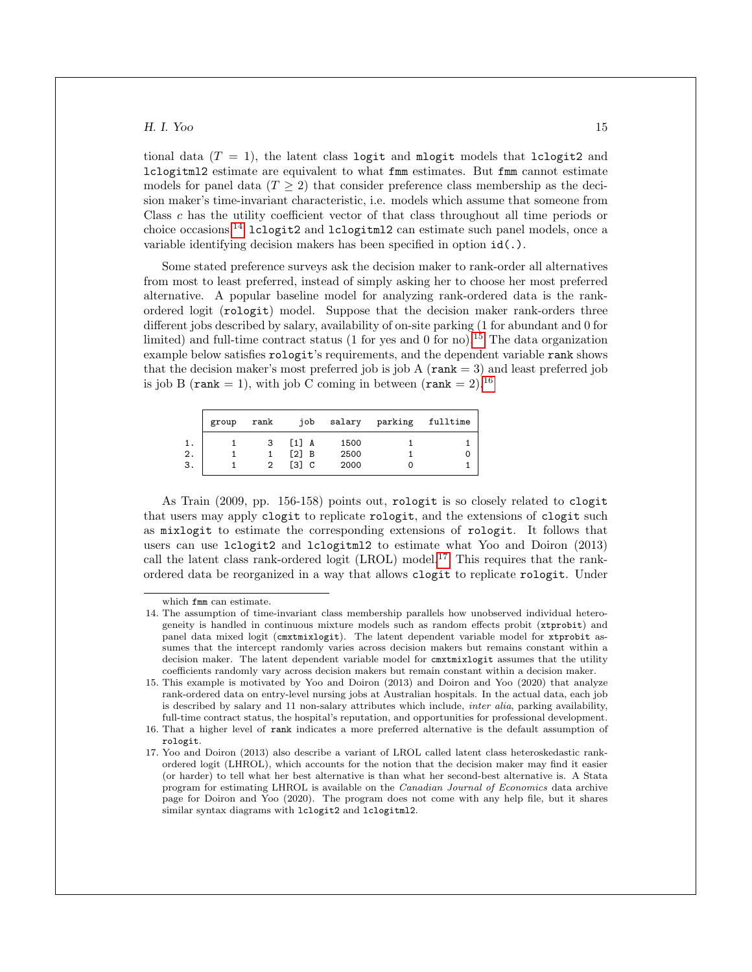tional data  $(T = 1)$ , the latent class logit and mlogit models that lclogit2 and lclogitml2 estimate are equivalent to what fmm estimates. But fmm cannot estimate models for panel data  $(T \geq 2)$  that consider preference class membership as the decision maker's time-invariant characteristic, i.e. models which assume that someone from Class c has the utility coefficient vector of that class throughout all time periods or choice occasions.<sup>[14](#page-15-0)</sup> lclogit2 and lclogitml2 can estimate such panel models, once a variable identifying decision makers has been specified in option id(.).

Some stated preference surveys ask the decision maker to rank-order all alternatives from most to least preferred, instead of simply asking her to choose her most preferred alternative. A popular baseline model for analyzing rank-ordered data is the rankordered logit (rologit) model. Suppose that the decision maker rank-orders three different jobs described by salary, availability of on-site parking (1 for abundant and 0 for limited) and full-time contract status (1 for yes and 0 for no).<sup>[15](#page-15-1)</sup> The data organization example below satisfies rologit's requirements, and the dependent variable rank shows that the decision maker's most preferred job is job A ( $\text{rank} = 3$ ) and least preferred job is job B (rank = 1), with job C coming in between (rank = 2).<sup>[16](#page-15-2)</sup>

|                | group | rank   | iob                                                                   | salary               | parking | fulltime |
|----------------|-------|--------|-----------------------------------------------------------------------|----------------------|---------|----------|
| 1.<br>2.<br>З. |       | 3<br>2 | $[1]$ A<br>$\lceil 2 \rceil$ B<br>$\begin{bmatrix} 3 \end{bmatrix}$ C | 1500<br>2500<br>2000 |         |          |

As Train (2009, pp. 156-158) points out, rologit is so closely related to clogit that users may apply clogit to replicate rologit, and the extensions of clogit such as mixlogit to estimate the corresponding extensions of rologit. It follows that users can use lclogit2 and lclogitml2 to estimate what Yoo and Doiron (2013) call the latent class rank-ordered logit  $(LROL) \text{ model}^{17}$  $(LROL) \text{ model}^{17}$  $(LROL) \text{ model}^{17}$ . This requires that the rankordered data be reorganized in a way that allows clogit to replicate rologit. Under

<span id="page-15-0"></span>which fmm can estimate.

<sup>14.</sup> The assumption of time-invariant class membership parallels how unobserved individual heterogeneity is handled in continuous mixture models such as random effects probit (xtprobit) and panel data mixed logit (cmxtmixlogit). The latent dependent variable model for xtprobit assumes that the intercept randomly varies across decision makers but remains constant within a decision maker. The latent dependent variable model for cmxtmixlogit assumes that the utility coefficients randomly vary across decision makers but remain constant within a decision maker.

<span id="page-15-1"></span><sup>15.</sup> This example is motivated by Yoo and Doiron (2013) and Doiron and Yoo (2020) that analyze rank-ordered data on entry-level nursing jobs at Australian hospitals. In the actual data, each job is described by salary and 11 non-salary attributes which include, *inter alia*, parking availability, full-time contract status, the hospital's reputation, and opportunities for professional development.

<span id="page-15-2"></span><sup>16.</sup> That a higher level of rank indicates a more preferred alternative is the default assumption of rologit.

<span id="page-15-3"></span><sup>17.</sup> Yoo and Doiron (2013) also describe a variant of LROL called latent class heteroskedastic rankordered logit (LHROL), which accounts for the notion that the decision maker may find it easier (or harder) to tell what her best alternative is than what her second-best alternative is. A Stata program for estimating LHROL is available on the Canadian Journal of Economics data archive page for Doiron and Yoo (2020). The program does not come with any help file, but it shares similar syntax diagrams with lclogit2 and lclogitml2.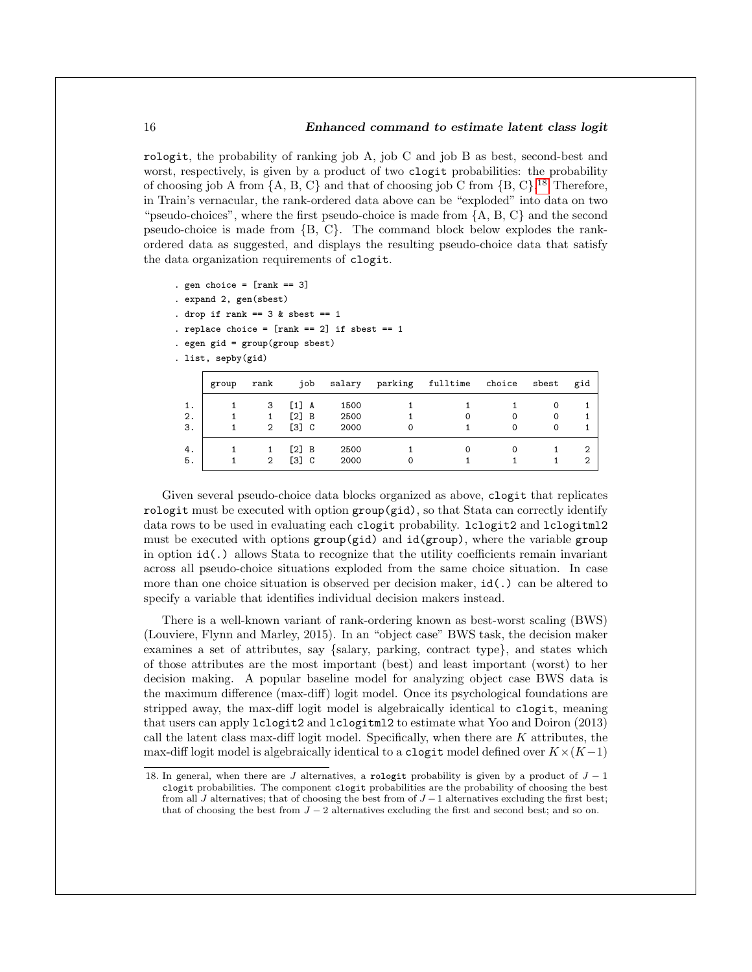#### 16 Enhanced command to estimate latent class logit

rologit, the probability of ranking job A, job C and job B as best, second-best and worst, respectively, is given by a product of two clogit probabilities: the probability of choosing job A from  $\{A, B, C\}$  and that of choosing job C from  $\{B, C\}$ .<sup>[18](#page-16-0)</sup> Therefore, in Train's vernacular, the rank-ordered data above can be "exploded" into data on two "pseudo-choices", where the first pseudo-choice is made from  ${A, B, C}$  and the second pseudo-choice is made from {B, C}. The command block below explodes the rankordered data as suggested, and displays the resulting pseudo-choice data that satisfy the data organization requirements of clogit.

- . gen choice =  $[rank == 3]$
- . expand 2, gen(sbest)
- . drop if rank ==  $3$  & sbest ==  $1$
- . replace choice =  $[rank == 2]$  if sbest == 1
- . egen gid = group(group sbest)
- . list, sepby(gid)

|                | group | rank                | job                              | salary               | parking | fulltime | choice | sbest  | gid    |
|----------------|-------|---------------------|----------------------------------|----------------------|---------|----------|--------|--------|--------|
| 1.<br>2.<br>3. |       | 3<br>$\overline{2}$ | $[1]$ A<br>[2] B<br>$[3]$ $C$    | 1500<br>2500<br>2000 |         |          | 0<br>O | 0<br>0 |        |
| 4.<br>5.       |       | $\overline{2}$      | $\lceil 2 \rceil$ B<br>$[3]$ $C$ | 2500<br>2000         |         |          |        |        | 2<br>2 |

Given several pseudo-choice data blocks organized as above, clogit that replicates rologit must be executed with option group(gid), so that Stata can correctly identify data rows to be used in evaluating each clogit probability. lclogit2 and lclogitml2 must be executed with options group(gid) and id(group), where the variable group in option id(.) allows Stata to recognize that the utility coefficients remain invariant across all pseudo-choice situations exploded from the same choice situation. In case more than one choice situation is observed per decision maker, id(.) can be altered to specify a variable that identifies individual decision makers instead.

There is a well-known variant of rank-ordering known as best-worst scaling (BWS) (Louviere, Flynn and Marley, 2015). In an "object case" BWS task, the decision maker examines a set of attributes, say {salary, parking, contract type}, and states which of those attributes are the most important (best) and least important (worst) to her decision making. A popular baseline model for analyzing object case BWS data is the maximum difference (max-diff) logit model. Once its psychological foundations are stripped away, the max-diff logit model is algebraically identical to clogit, meaning that users can apply lclogit2 and lclogitml2 to estimate what Yoo and Doiron (2013) call the latent class max-diff logit model. Specifically, when there are  $K$  attributes, the max-diff logit model is algebraically identical to a clogit model defined over  $K \times (K-1)$ 

<span id="page-16-0"></span><sup>18.</sup> In general, when there are J alternatives, a rologit probability is given by a product of  $J - 1$ clogit probabilities. The component clogit probabilities are the probability of choosing the best from all J alternatives; that of choosing the best from of  $J-1$  alternatives excluding the first best; that of choosing the best from  $J - 2$  alternatives excluding the first and second best; and so on.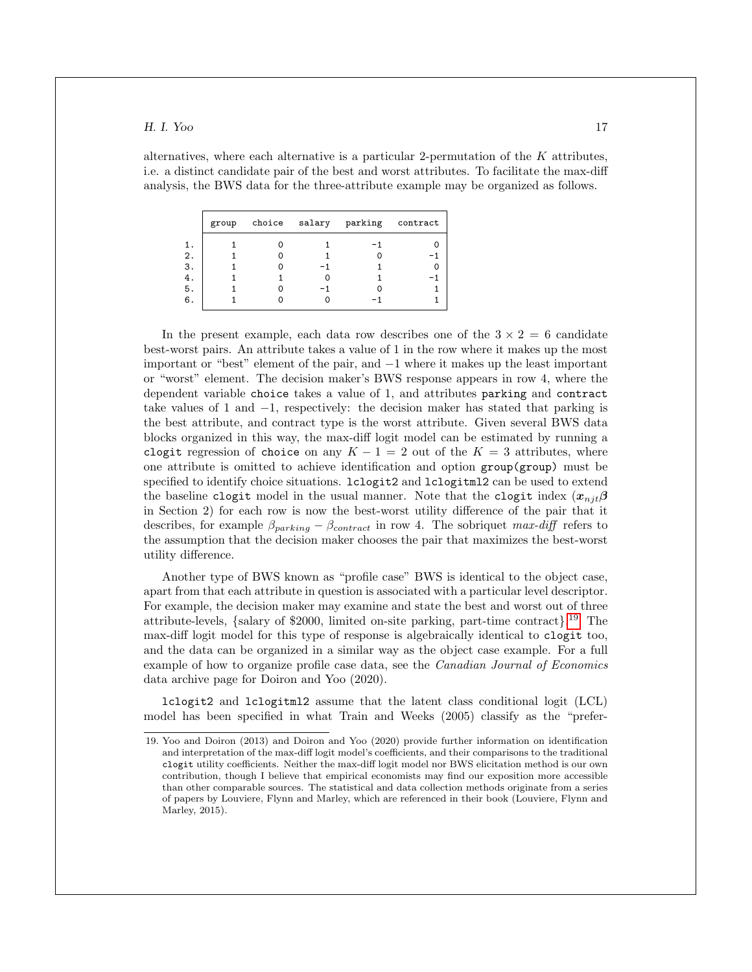alternatives, where each alternative is a particular 2-permutation of the  $K$  attributes, i.e. a distinct candidate pair of the best and worst attributes. To facilitate the max-diff analysis, the BWS data for the three-attribute example may be organized as follows.

|          | group |  | choice salary parking contract |  |
|----------|-------|--|--------------------------------|--|
| 1.<br>2. |       |  |                                |  |
| З.       |       |  |                                |  |
| 4.<br>5. |       |  |                                |  |
| 6.       |       |  |                                |  |

In the present example, each data row describes one of the  $3 \times 2 = 6$  candidate best-worst pairs. An attribute takes a value of 1 in the row where it makes up the most important or "best" element of the pair, and −1 where it makes up the least important or "worst" element. The decision maker's BWS response appears in row 4, where the dependent variable choice takes a value of 1, and attributes parking and contract take values of 1 and −1, respectively: the decision maker has stated that parking is the best attribute, and contract type is the worst attribute. Given several BWS data blocks organized in this way, the max-diff logit model can be estimated by running a clogit regression of choice on any  $K - 1 = 2$  out of the  $K = 3$  attributes, where one attribute is omitted to achieve identification and option group(group) must be specified to identify choice situations. Loogit2 and Loogitml2 can be used to extend the baseline clogit model in the usual manner. Note that the clogit index  $(x_{n,i} \beta)$ in Section 2) for each row is now the best-worst utility difference of the pair that it describes, for example  $\beta_{parking} - \beta_{contract}$  in row 4. The sobriquet max-diff refers to the assumption that the decision maker chooses the pair that maximizes the best-worst utility difference.

Another type of BWS known as "profile case" BWS is identical to the object case, apart from that each attribute in question is associated with a particular level descriptor. For example, the decision maker may examine and state the best and worst out of three attribute-levels, {salary of \$2000, limited on-site parking, part-time contract}. [19](#page-17-0) The max-diff logit model for this type of response is algebraically identical to clogit too, and the data can be organized in a similar way as the object case example. For a full example of how to organize profile case data, see the *Canadian Journal of Economics* data archive page for Doiron and Yoo (2020).

lclogit2 and lclogitml2 assume that the latent class conditional logit (LCL) model has been specified in what Train and Weeks (2005) classify as the "prefer-

<span id="page-17-0"></span><sup>19.</sup> Yoo and Doiron (2013) and Doiron and Yoo (2020) provide further information on identification and interpretation of the max-diff logit model's coefficients, and their comparisons to the traditional clogit utility coefficients. Neither the max-diff logit model nor BWS elicitation method is our own contribution, though I believe that empirical economists may find our exposition more accessible than other comparable sources. The statistical and data collection methods originate from a series of papers by Louviere, Flynn and Marley, which are referenced in their book (Louviere, Flynn and Marley, 2015).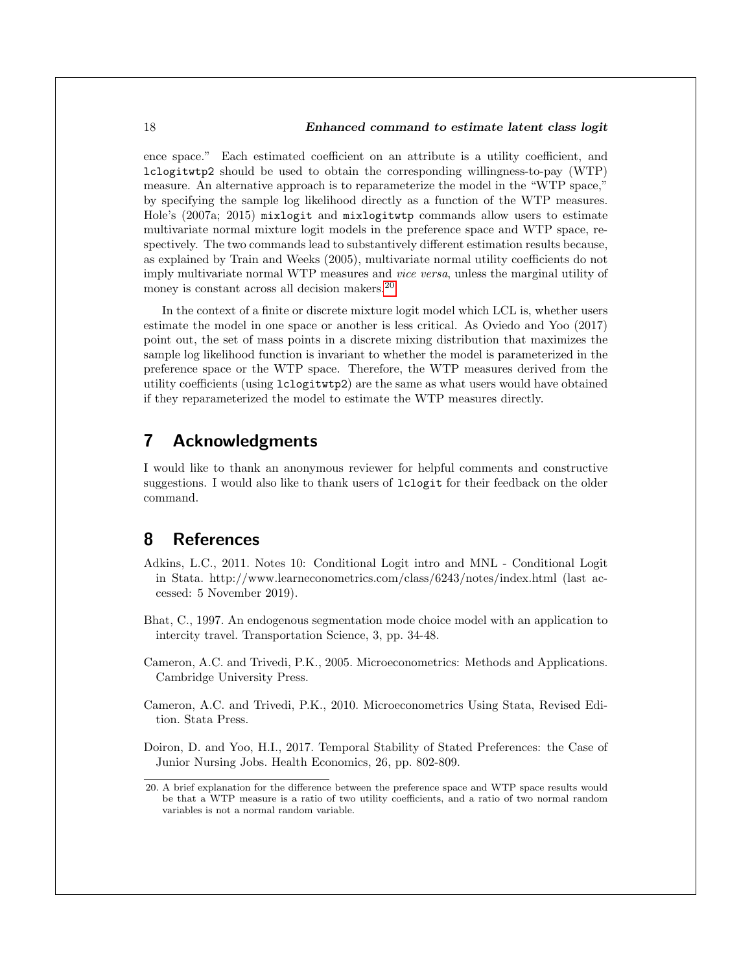ence space." Each estimated coefficient on an attribute is a utility coefficient, and lclogitwtp2 should be used to obtain the corresponding willingness-to-pay (WTP) measure. An alternative approach is to reparameterize the model in the "WTP space," by specifying the sample log likelihood directly as a function of the WTP measures. Hole's (2007a; 2015) mixlogit and mixlogitwtp commands allow users to estimate multivariate normal mixture logit models in the preference space and WTP space, respectively. The two commands lead to substantively different estimation results because, as explained by Train and Weeks (2005), multivariate normal utility coefficients do not imply multivariate normal WTP measures and vice versa, unless the marginal utility of money is constant across all decision makers.<sup>[20](#page-18-0)</sup>

In the context of a finite or discrete mixture logit model which LCL is, whether users estimate the model in one space or another is less critical. As Oviedo and Yoo (2017) point out, the set of mass points in a discrete mixing distribution that maximizes the sample log likelihood function is invariant to whether the model is parameterized in the preference space or the WTP space. Therefore, the WTP measures derived from the utility coefficients (using lclogitwtp2) are the same as what users would have obtained if they reparameterized the model to estimate the WTP measures directly.

# 7 Acknowledgments

I would like to thank an anonymous reviewer for helpful comments and constructive suggestions. I would also like to thank users of lclogit for their feedback on the older command.

# 8 References

- Adkins, L.C., 2011. Notes 10: Conditional Logit intro and MNL Conditional Logit in Stata. http://www.learneconometrics.com/class/6243/notes/index.html (last accessed: 5 November 2019).
- Bhat, C., 1997. An endogenous segmentation mode choice model with an application to intercity travel. Transportation Science, 3, pp. 34-48.
- Cameron, A.C. and Trivedi, P.K., 2005. Microeconometrics: Methods and Applications. Cambridge University Press.
- Cameron, A.C. and Trivedi, P.K., 2010. Microeconometrics Using Stata, Revised Edition. Stata Press.

Doiron, D. and Yoo, H.I., 2017. Temporal Stability of Stated Preferences: the Case of Junior Nursing Jobs. Health Economics, 26, pp. 802-809.

<span id="page-18-0"></span><sup>20.</sup> A brief explanation for the difference between the preference space and WTP space results would be that a WTP measure is a ratio of two utility coefficients, and a ratio of two normal random variables is not a normal random variable.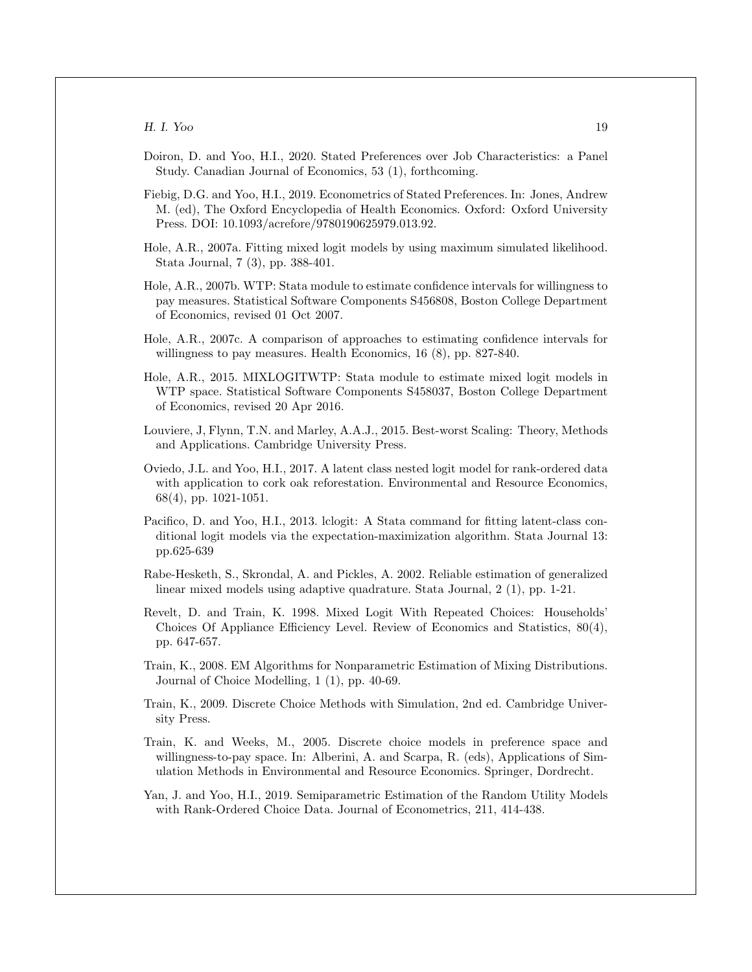- Doiron, D. and Yoo, H.I., 2020. Stated Preferences over Job Characteristics: a Panel Study. Canadian Journal of Economics, 53 (1), forthcoming.
- Fiebig, D.G. and Yoo, H.I., 2019. Econometrics of Stated Preferences. In: Jones, Andrew M. (ed), The Oxford Encyclopedia of Health Economics. Oxford: Oxford University Press. DOI: 10.1093/acrefore/9780190625979.013.92.
- Hole, A.R., 2007a. Fitting mixed logit models by using maximum simulated likelihood. Stata Journal, 7 (3), pp. 388-401.
- Hole, A.R., 2007b. WTP: Stata module to estimate confidence intervals for willingness to pay measures. Statistical Software Components S456808, Boston College Department of Economics, revised 01 Oct 2007.
- Hole, A.R., 2007c. A comparison of approaches to estimating confidence intervals for willingness to pay measures. Health Economics, 16 (8), pp. 827-840.
- Hole, A.R., 2015. MIXLOGITWTP: Stata module to estimate mixed logit models in WTP space. Statistical Software Components S458037, Boston College Department of Economics, revised 20 Apr 2016.
- Louviere, J, Flynn, T.N. and Marley, A.A.J., 2015. Best-worst Scaling: Theory, Methods and Applications. Cambridge University Press.
- Oviedo, J.L. and Yoo, H.I., 2017. A latent class nested logit model for rank-ordered data with application to cork oak reforestation. Environmental and Resource Economics, 68(4), pp. 1021-1051.
- Pacifico, D. and Yoo, H.I., 2013. lclogit: A Stata command for fitting latent-class conditional logit models via the expectation-maximization algorithm. Stata Journal 13: pp.625-639
- Rabe-Hesketh, S., Skrondal, A. and Pickles, A. 2002. Reliable estimation of generalized linear mixed models using adaptive quadrature. Stata Journal, 2 (1), pp. 1-21.
- Revelt, D. and Train, K. 1998. Mixed Logit With Repeated Choices: Households' Choices Of Appliance Efficiency Level. Review of Economics and Statistics, 80(4), pp. 647-657.
- Train, K., 2008. EM Algorithms for Nonparametric Estimation of Mixing Distributions. Journal of Choice Modelling, 1 (1), pp. 40-69.
- Train, K., 2009. Discrete Choice Methods with Simulation, 2nd ed. Cambridge University Press.
- Train, K. and Weeks, M., 2005. Discrete choice models in preference space and willingness-to-pay space. In: Alberini, A. and Scarpa, R. (eds), Applications of Simulation Methods in Environmental and Resource Economics. Springer, Dordrecht.
- Yan, J. and Yoo, H.I., 2019. Semiparametric Estimation of the Random Utility Models with Rank-Ordered Choice Data. Journal of Econometrics, 211, 414-438.